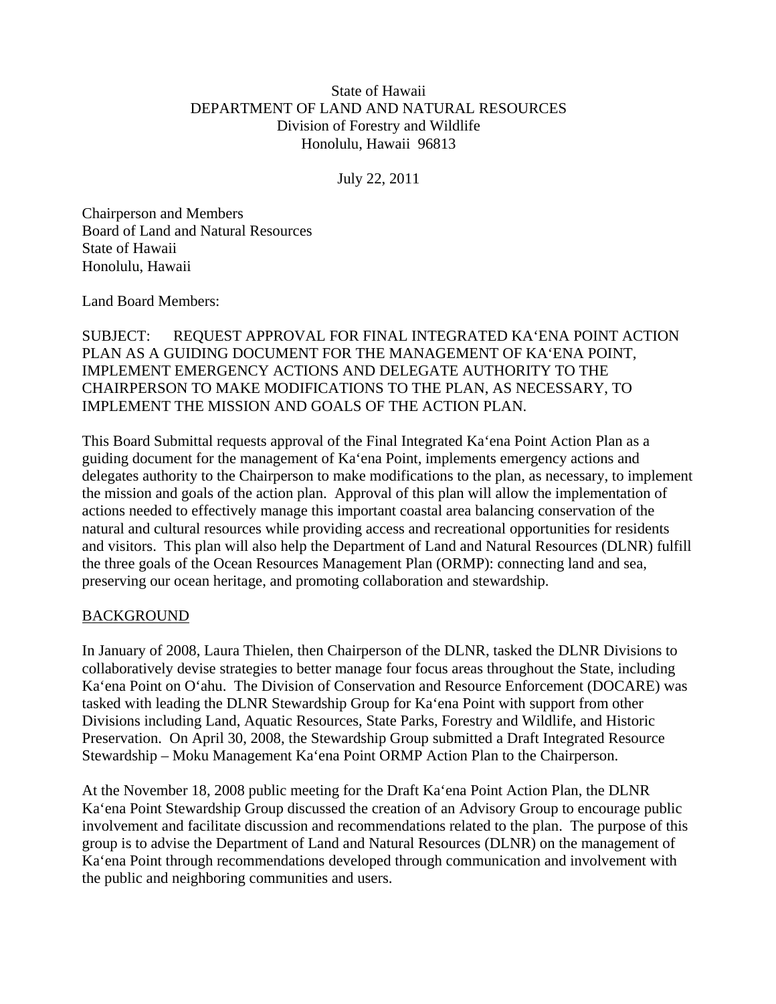## State of Hawaii DEPARTMENT OF LAND AND NATURAL RESOURCES Division of Forestry and Wildlife Honolulu, Hawaii 96813

July 22, 2011

Chairperson and Members Board of Land and Natural Resources State of Hawaii Honolulu, Hawaii

Land Board Members:

SUBJECT: REQUEST APPROVAL FOR FINAL INTEGRATED KA'ENA POINT ACTION PLAN AS A GUIDING DOCUMENT FOR THE MANAGEMENT OF KA'ENA POINT, IMPLEMENT EMERGENCY ACTIONS AND DELEGATE AUTHORITY TO THE CHAIRPERSON TO MAKE MODIFICATIONS TO THE PLAN, AS NECESSARY, TO IMPLEMENT THE MISSION AND GOALS OF THE ACTION PLAN.

This Board Submittal requests approval of the Final Integrated Ka'ena Point Action Plan as a guiding document for the management of Ka'ena Point, implements emergency actions and delegates authority to the Chairperson to make modifications to the plan, as necessary, to implement the mission and goals of the action plan. Approval of this plan will allow the implementation of actions needed to effectively manage this important coastal area balancing conservation of the natural and cultural resources while providing access and recreational opportunities for residents and visitors. This plan will also help the Department of Land and Natural Resources (DLNR) fulfill the three goals of the Ocean Resources Management Plan (ORMP): connecting land and sea, preserving our ocean heritage, and promoting collaboration and stewardship.

## **BACKGROUND**

In January of 2008, Laura Thielen, then Chairperson of the DLNR, tasked the DLNR Divisions to collaboratively devise strategies to better manage four focus areas throughout the State, including Ka'ena Point on O'ahu. The Division of Conservation and Resource Enforcement (DOCARE) was tasked with leading the DLNR Stewardship Group for Ka'ena Point with support from other Divisions including Land, Aquatic Resources, State Parks, Forestry and Wildlife, and Historic Preservation. On April 30, 2008, the Stewardship Group submitted a Draft Integrated Resource Stewardship – Moku Management Ka'ena Point ORMP Action Plan to the Chairperson.

At the November 18, 2008 public meeting for the Draft Ka'ena Point Action Plan, the DLNR Ka'ena Point Stewardship Group discussed the creation of an Advisory Group to encourage public involvement and facilitate discussion and recommendations related to the plan. The purpose of this group is to advise the Department of Land and Natural Resources (DLNR) on the management of Ka'ena Point through recommendations developed through communication and involvement with the public and neighboring communities and users.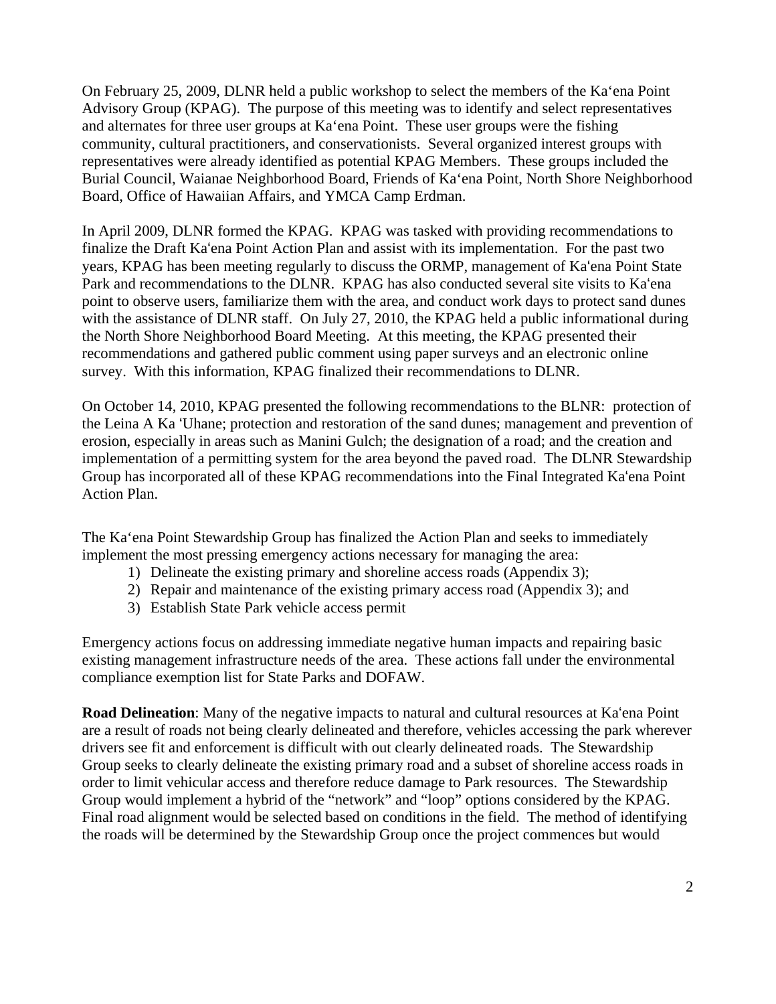On February 25, 2009, DLNR held a public workshop to select the members of the Ka'ena Point Advisory Group (KPAG). The purpose of this meeting was to identify and select representatives and alternates for three user groups at Ka'ena Point. These user groups were the fishing community, cultural practitioners, and conservationists. Several organized interest groups with representatives were already identified as potential KPAG Members. These groups included the Burial Council, Waianae Neighborhood Board, Friends of Ka'ena Point, North Shore Neighborhood Board, Office of Hawaiian Affairs, and YMCA Camp Erdman.

In April 2009, DLNR formed the KPAG. KPAG was tasked with providing recommendations to finalize the Draft Ka'ena Point Action Plan and assist with its implementation. For the past two years, KPAG has been meeting regularly to discuss the ORMP, management of Ka'ena Point State Park and recommendations to the DLNR. KPAG has also conducted several site visits to Ka'ena point to observe users, familiarize them with the area, and conduct work days to protect sand dunes with the assistance of DLNR staff. On July 27, 2010, the KPAG held a public informational during the North Shore Neighborhood Board Meeting. At this meeting, the KPAG presented their recommendations and gathered public comment using paper surveys and an electronic online survey. With this information, KPAG finalized their recommendations to DLNR.

On October 14, 2010, KPAG presented the following recommendations to the BLNR: protection of the Leina A Ka 'Uhane; protection and restoration of the sand dunes; management and prevention of erosion, especially in areas such as Manini Gulch; the designation of a road; and the creation and implementation of a permitting system for the area beyond the paved road. The DLNR Stewardship Group has incorporated all of these KPAG recommendations into the Final Integrated Ka'ena Point Action Plan.

The Ka'ena Point Stewardship Group has finalized the Action Plan and seeks to immediately implement the most pressing emergency actions necessary for managing the area:

- 1) Delineate the existing primary and shoreline access roads (Appendix 3);
- 2) Repair and maintenance of the existing primary access road (Appendix 3); and
- 3) Establish State Park vehicle access permit

Emergency actions focus on addressing immediate negative human impacts and repairing basic existing management infrastructure needs of the area. These actions fall under the environmental compliance exemption list for State Parks and DOFAW.

**Road Delineation**: Many of the negative impacts to natural and cultural resources at Ka'ena Point are a result of roads not being clearly delineated and therefore, vehicles accessing the park wherever drivers see fit and enforcement is difficult with out clearly delineated roads. The Stewardship Group seeks to clearly delineate the existing primary road and a subset of shoreline access roads in order to limit vehicular access and therefore reduce damage to Park resources. The Stewardship Group would implement a hybrid of the "network" and "loop" options considered by the KPAG. Final road alignment would be selected based on conditions in the field. The method of identifying the roads will be determined by the Stewardship Group once the project commences but would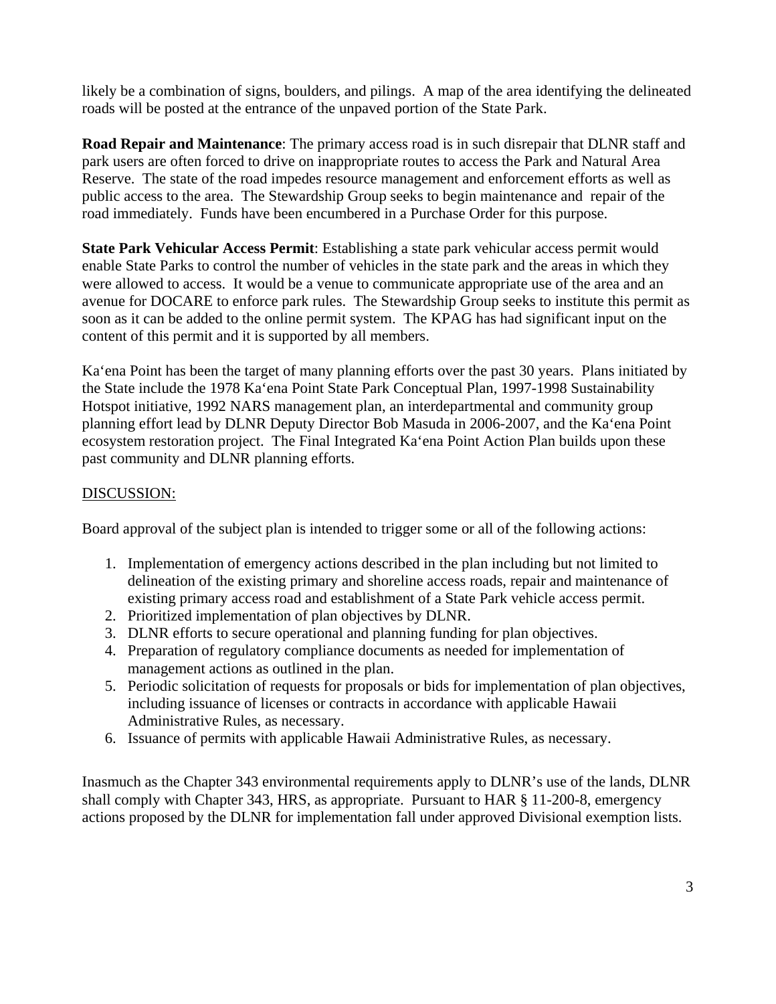likely be a combination of signs, boulders, and pilings. A map of the area identifying the delineated roads will be posted at the entrance of the unpaved portion of the State Park.

**Road Repair and Maintenance**: The primary access road is in such disrepair that DLNR staff and park users are often forced to drive on inappropriate routes to access the Park and Natural Area Reserve. The state of the road impedes resource management and enforcement efforts as well as public access to the area. The Stewardship Group seeks to begin maintenance and repair of the road immediately. Funds have been encumbered in a Purchase Order for this purpose.

**State Park Vehicular Access Permit**: Establishing a state park vehicular access permit would enable State Parks to control the number of vehicles in the state park and the areas in which they were allowed to access. It would be a venue to communicate appropriate use of the area and an avenue for DOCARE to enforce park rules. The Stewardship Group seeks to institute this permit as soon as it can be added to the online permit system. The KPAG has had significant input on the content of this permit and it is supported by all members.

Ka'ena Point has been the target of many planning efforts over the past 30 years. Plans initiated by the State include the 1978 Ka'ena Point State Park Conceptual Plan, 1997-1998 Sustainability Hotspot initiative, 1992 NARS management plan, an interdepartmental and community group planning effort lead by DLNR Deputy Director Bob Masuda in 2006-2007, and the Ka'ena Point ecosystem restoration project. The Final Integrated Ka'ena Point Action Plan builds upon these past community and DLNR planning efforts.

## DISCUSSION:

Board approval of the subject plan is intended to trigger some or all of the following actions:

- 1. Implementation of emergency actions described in the plan including but not limited to delineation of the existing primary and shoreline access roads, repair and maintenance of existing primary access road and establishment of a State Park vehicle access permit.
- 2. Prioritized implementation of plan objectives by DLNR.
- 3. DLNR efforts to secure operational and planning funding for plan objectives.
- 4. Preparation of regulatory compliance documents as needed for implementation of management actions as outlined in the plan.
- 5. Periodic solicitation of requests for proposals or bids for implementation of plan objectives, including issuance of licenses or contracts in accordance with applicable Hawaii Administrative Rules, as necessary.
- 6. Issuance of permits with applicable Hawaii Administrative Rules, as necessary.

Inasmuch as the Chapter 343 environmental requirements apply to DLNR's use of the lands, DLNR shall comply with Chapter 343, HRS, as appropriate. Pursuant to HAR § 11-200-8, emergency actions proposed by the DLNR for implementation fall under approved Divisional exemption lists.